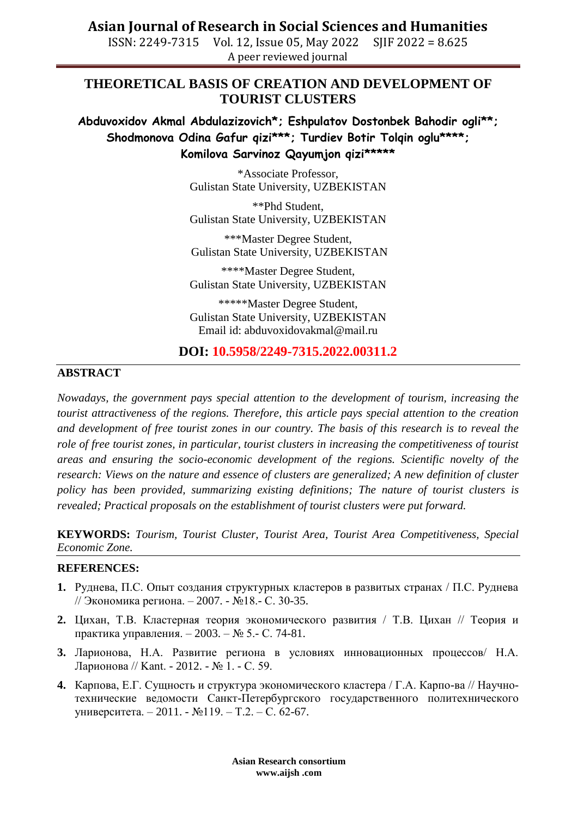## **Asian Journal of Research in Social Sciences and Humanities**

ISSN: 2249-7315 Vol. 12, Issue 05, May 2022 SJIF 2022 = 8.625 A peer reviewed journal

## **THEORETICAL BASIS OF CREATION AND DEVELOPMENT OF TOURIST CLUSTERS**

**Abduvoxidov Akmal Abdulazizovich\*; Eshpulatov Dostonbek Bahodir ogli\*\*; Shodmonova Odina Gafur qizi\*\*\*; Turdiev Botir Tolqin oglu\*\*\*\*; Komilova Sarvinoz Qayumjon qizi\*\*\*\*\***

> \*Associate Professor, Gulistan State University, UZBEKISTAN

> \*\*Phd Student, Gulistan State University, UZBEKISTAN

> \*\*\*Master Degree Student, Gulistan State University, UZBEKISTAN

> \*\*\*\*Master Degree Student, Gulistan State University, UZBEKISTAN

> \*\*\*\*\*Master Degree Student, Gulistan State University, UZBEKISTAN Email id: abduvoxidovakmal@mail.ru

### **DOI: 10.5958/2249-7315.2022.00311.2**

#### **ABSTRACT**

*Nowadays, the government pays special attention to the development of tourism, increasing the tourist attractiveness of the regions. Therefore, this article pays special attention to the creation and development of free tourist zones in our country. The basis of this research is to reveal the role of free tourist zones, in particular, tourist clusters in increasing the competitiveness of tourist areas and ensuring the socio-economic development of the regions. Scientific novelty of the research: Views on the nature and essence of clusters are generalized; A new definition of cluster policy has been provided, summarizing existing definitions; The nature of tourist clusters is revealed; Practical proposals on the establishment of tourist clusters were put forward.*

**KEYWORDS:** *Tourism, Tourist Cluster, Tourist Area, Tourist Area Competitiveness, Special Economic Zone.* 

#### **REFERENCES:**

- **1.** Руднева, П.С. Опыт создания структурных кластеров в развитых странах / П.С. Руднева // Экономика региона. – 2007. - №18.- С. 30-35.
- **2.** Цихан, Т.В. Кластерная теория экономического развития / Т.В. Цихан // Теория и практика управления. – 2003. – № 5.- С. 74-81.
- **3.** Ларионова, Н.А. Развитие региона в условиях инновационных процессов/ Н.А. Ларионова // Kant. - 2012. - № 1. - С. 59.
- **4.** Карпова, Е.Г. Сущность и структура экономического кластера / Г.А. Карпо-ва // Научнотехнические ведомости Санкт-Петербургского государственного политехнического университета. – 2011. - №119. – Т.2. – С. 62-67.